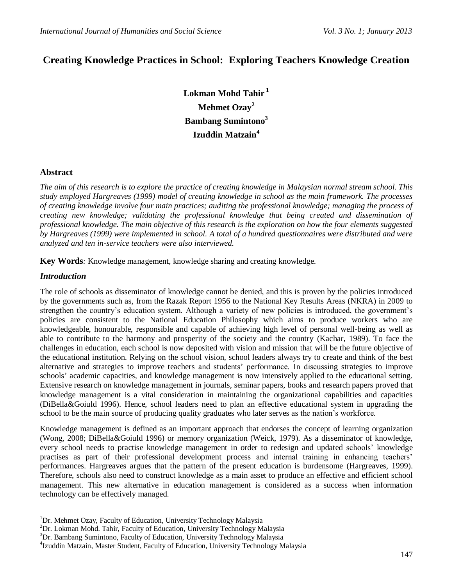# **Creating Knowledge Practices in School: Exploring Teachers Knowledge Creation**

**Lokman Mohd Tahir <sup>1</sup> Mehmet Ozay<sup>2</sup> Bambang Sumintono<sup>3</sup> Izuddin Matzain<sup>4</sup>**

## **Abstract**

*The aim of this research is to explore the practice of creating knowledge in Malaysian normal stream school. This study employed Hargreaves (1999) model of creating knowledge in school as the main framework. The processes of creating knowledge involve four main practices; auditing the professional knowledge; managing the process of creating new knowledge; validating the professional knowledge that being created and dissemination of professional knowledge. The main objective of this research is the exploration on how the four elements suggested by Hargreaves (1999) were implemented in school. A total of a hundred questionnaires were distributed and were analyzed and ten in-service teachers were also interviewed.* 

**Key Words***:* Knowledge management, knowledge sharing and creating knowledge.

## *Introduction*

The role of schools as disseminator of knowledge cannot be denied, and this is proven by the policies introduced by the governments such as, from the Razak Report 1956 to the National Key Results Areas (NKRA) in 2009 to strengthen the country's education system. Although a variety of new policies is introduced, the government's policies are consistent to the National Education Philosophy which aims to produce workers who are knowledgeable, honourable, responsible and capable of achieving high level of personal well-being as well as able to contribute to the harmony and prosperity of the society and the country (Kachar, 1989). To face the challenges in education, each school is now deposited with vision and mission that will be the future objective of the educational institution. Relying on the school vision, school leaders always try to create and think of the best alternative and strategies to improve teachers and students" performance. In discussing strategies to improve schools" academic capacities, and knowledge management is now intensively applied to the educational setting. Extensive research on knowledge management in journals, seminar papers, books and research papers proved that knowledge management is a vital consideration in maintaining the organizational capabilities and capacities (DiBella&Goiuld 1996). Hence, school leaders need to plan an effective educational system in upgrading the school to be the main source of producing quality graduates who later serves as the nation"s workforce.

Knowledge management is defined as an important approach that endorses the concept of learning organization (Wong, 2008; DiBella&Goiuld 1996) or memory organization (Weick, 1979). As a disseminator of knowledge, every school needs to practise knowledge management in order to redesign and updated schools" knowledge practises as part of their professional development process and internal training in enhancing teachers" performances. Hargreaves argues that the pattern of the present education is burdensome (Hargreaves, 1999). Therefore, schools also need to construct knowledge as a main asset to produce an effective and efficient school management. This new alternative in education management is considered as a success when information technology can be effectively managed.

 $\overline{a}$  $1$ Dr. Mehmet Ozay, Faculty of Education, University Technology Malaysia

 ${}^{2}$ Dr. Lokman Mohd. Tahir, Faculty of Education, University Technology Malaysia

<sup>&</sup>lt;sup>3</sup>Dr. Bambang Sumintono, Faculty of Education, University Technology Malaysia

<sup>4</sup> Izuddin Matzain, Master Student, Faculty of Education, University Technology Malaysia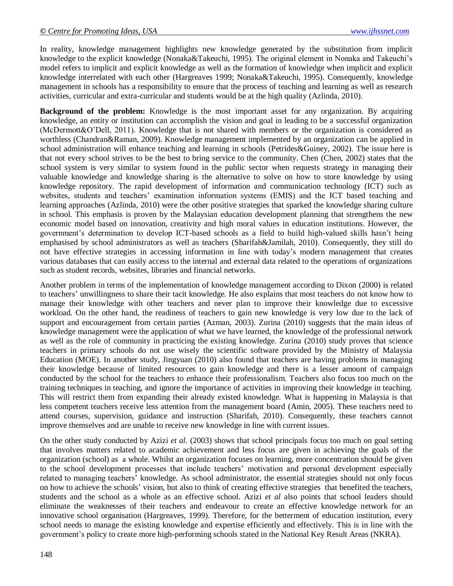In reality, knowledge management highlights new knowledge generated by the substitution from implicit knowledge to the explicit knowledge (Nonaka&Takeuchi, 1995). The original element in Nonaka and Takeuchi"s model refers to implicit and explicit knowledge as well as the formation of knowledge when implicit and explicit knowledge interrelated with each other (Hargreaves 1999; Nonaka&Takeuchi, 1995). Consequently, knowledge management in schools has a responsibility to ensure that the process of teaching and learning as well as research activities, curricular and extra-curricular and students would be at the high quality (Azlinda, 2010).

**Background of the problem:** Knowledge is the most important asset for any organization. By acquiring knowledge, an entity or institution can accomplish the vision and goal in leading to be a successful organization (McDermott&O"Dell, 2011). Knowledge that is not shared with members or the organization is considered as worthless (Chandran&Raman, 2009). Knowledge management implemented by an organization can be applied in school administration will enhance teaching and learning in schools (Petrides&Guiney, 2002). The issue here is that not every school strives to be the best to bring service to the community. Chen (Chen, 2002) states that the school system is very similar to system found in the public sector when requests strategy in managing their valuable knowledge and knowledge sharing is the alternative to solve on how to store knowledge by using knowledge repository. The rapid development of information and communication technology (ICT) such as websites, students and teachers" examination information systems (EMIS) and the ICT based teaching and learning approaches (Azlinda, 2010) were the other positive strategies that sparked the knowledge sharing culture in school. This emphasis is proven by the Malaysian education development planning that strengthens the new economic model based on innovation, creativity and high moral values in education institutions. However, the government"s determination to develop ICT-based schools as a field to build high-valued skills hasn"t being emphasised by school administrators as well as teachers (Sharifah&Jamilah, 2010). Consequently, they still do not have effective strategies in accessing information in line with today"s modern management that creates various databases that can easily access to the internal and external data related to the operations of organizations such as student records, websites, libraries and financial networks.

Another problem in terms of the implementation of knowledge management according to Dixon (2000) is related to teachers" unwillingness to share their tacit knowledge. He also explains that most teachers do not know how to manage their knowledge with other teachers and never plan to improve their knowledge due to excessive workload. On the other hand, the readiness of teachers to gain new knowledge is very low due to the lack of support and encouragement from certain parties (Azman, 2003). Zurina (2010) suggests that the main ideas of knowledge management were the application of what we have learned, the knowledge of the professional network as well as the role of community in practicing the existing knowledge. Zurina (2010) study proves that science teachers in primary schools do not use wisely the scientific software provided by the Ministry of Malaysia Education (MOE). In another study, Jingyuan (2010) also found that teachers are having problems in managing their knowledge because of limited resources to gain knowledge and there is a lesser amount of campaign conducted by the school for the teachers to enhance their professionalism. Teachers also focus too much on the training techniques in teaching, and ignore the importance of activities in improving their knowledge in teaching. This will restrict them from expanding their already existed knowledge. What is happening in Malaysia is that less competent teachers receive less attention from the management board (Amin, 2005). These teachers need to attend courses, supervision, guidance and instruction (Sharifah, 2010). Consequently, these teachers cannot improve themselves and are unable to receive new knowledge in line with current issues.

On the other study conducted by Azizi *et al.* (2003) shows that school principals focus too much on goal setting that involves matters related to academic achievement and less focus are given in achieving the goals of the organization (school) as a whole. Whilst an organization focuses on learning, more concentration should be given to the school development processes that include teachers" motivation and personal development especially related to managing teachers" knowledge. As school administrator, the essential strategies should not only focus on how to achieve the schools" vision, but also to think of creating effective strategies that benefited the teachers, students and the school as a whole as an effective school. Azizi *et al* also points that school leaders should eliminate the weaknesses of their teachers and endeavour to create an effective knowledge network for an innovative school organisation (Hargreaves, 1999). Therefore, for the betterment of education institution, every school needs to manage the existing knowledge and expertise efficiently and effectively. This is in line with the government"s policy to create more high-performing schools stated in the National Key Result Areas (NKRA).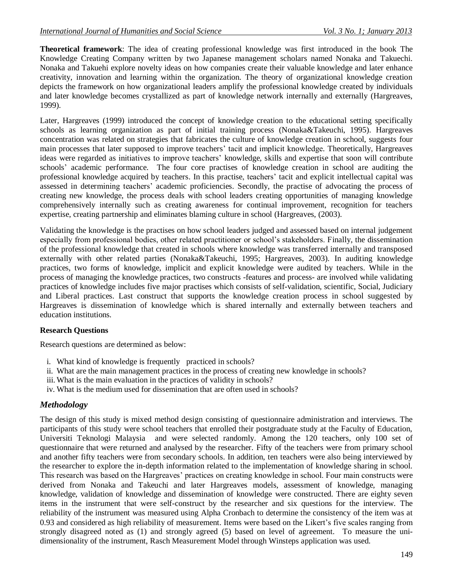**Theoretical framework**: The idea of creating professional knowledge was first introduced in the book The Knowledge Creating Company written by two Japanese management scholars named Nonaka and Takuechi. Nonaka and Takuehi explore novelty ideas on how companies create their valuable knowledge and later enhance creativity, innovation and learning within the organization. The theory of organizational knowledge creation depicts the framework on how organizational leaders amplify the professional knowledge created by individuals and later knowledge becomes crystallized as part of knowledge network internally and externally (Hargreaves, 1999).

Later, Hargreaves (1999) introduced the concept of knowledge creation to the educational setting specifically schools as learning organization as part of initial training process (Nonaka&Takeuchi, 1995). Hargreaves concentration was related on strategies that fabricates the culture of knowledge creation in school, suggests four main processes that later supposed to improve teachers' tacit and implicit knowledge. Theoretically, Hargreaves ideas were regarded as initiatives to improve teachers" knowledge, skills and expertise that soon will contribute schools" academic performance. The four core practises of knowledge creation in school are auditing the professional knowledge acquired by teachers. In this practise, teachers' tacit and explicit intellectual capital was assessed in determining teachers" academic proficiencies. Secondly, the practise of advocating the process of creating new knowledge, the process deals with school leaders creating opportunities of managing knowledge comprehensively internally such as creating awareness for continual improvement, recognition for teachers expertise, creating partnership and eliminates blaming culture in school (Hargreaves, (2003).

Validating the knowledge is the practises on how school leaders judged and assessed based on internal judgement especially from professional bodies, other related practitioner or school"s stakeholders. Finally, the dissemination of the professional knowledge that created in schools where knowledge was transferred internally and transposed externally with other related parties (Nonaka&Takeuchi, 1995; Hargreaves, 2003). In auditing knowledge practices, two forms of knowledge, implicit and explicit knowledge were audited by teachers. While in the process of managing the knowledge practices, two constructs -features and process- are involved while validating practices of knowledge includes five major practises which consists of self-validation, scientific, Social, Judiciary and Liberal practices. Last construct that supports the knowledge creation process in school suggested by Hargreaves is dissemination of knowledge which is shared internally and externally between teachers and education institutions.

# **Research Questions**

Research questions are determined as below:

- i. What kind of knowledge is frequently practiced in schools?
- ii. What are the main management practices in the process of creating new knowledge in schools?
- iii. What is the main evaluation in the practices of validity in schools?
- iv. What is the medium used for dissemination that are often used in schools?

# *Methodology*

The design of this study is mixed method design consisting of questionnaire administration and interviews. The participants of this study were school teachers that enrolled their postgraduate study at the Faculty of Education, Universiti Teknologi Malaysia and were selected randomly. Among the 120 teachers, only 100 set of questionnaire that were returned and analysed by the researcher. Fifty of the teachers were from primary school and another fifty teachers were from secondary schools. In addition, ten teachers were also being interviewed by the researcher to explore the in-depth information related to the implementation of knowledge sharing in school. This research was based on the Hargreaves' practices on creating knowledge in school. Four main constructs were derived from Nonaka and Takeuchi and later Hargreaves models, assessment of knowledge, managing knowledge, validation of knowledge and dissemination of knowledge were constructed. There are eighty seven items in the instrument that were self-construct by the researcher and six questions for the interview. The reliability of the instrument was measured using Alpha Cronbach to determine the consistency of the item was at 0.93 and considered as high reliability of measurement. Items were based on the Likert"s five scales ranging from strongly disagreed noted as (1) and strongly agreed (5) based on level of agreement. To measure the unidimensionality of the instrument, Rasch Measurement Model through Winsteps application was used.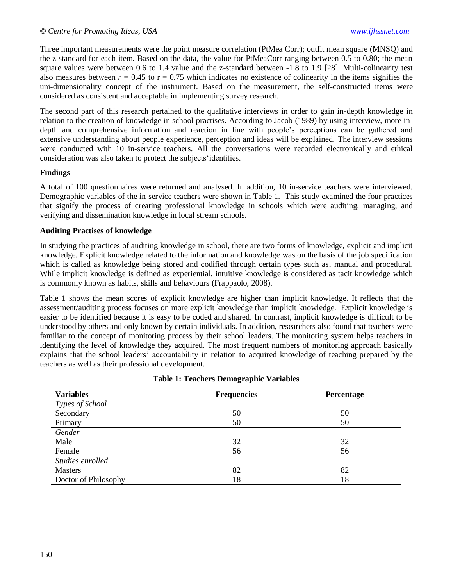Three important measurements were the point measure correlation (PtMea Corr); outfit mean square (MNSQ) and the z-standard for each item. Based on the data, the value for PtMeaCorr ranging between 0.5 to 0.80; the mean square values were between 0.6 to 1.4 value and the z-standard between -1.8 to 1.9 [28]. Multi-colinearity test also measures between  $r = 0.45$  to  $r = 0.75$  which indicates no existence of colinearity in the items signifies the uni-dimensionality concept of the instrument. Based on the measurement, the self-constructed items were considered as consistent and acceptable in implementing survey research.

The second part of this research pertained to the qualitative interviews in order to gain in-depth knowledge in relation to the creation of knowledge in school practises. According to Jacob (1989) by using interview, more indepth and comprehensive information and reaction in line with people"s perceptions can be gathered and extensive understanding about people experience, perception and ideas will be explained. The interview sessions were conducted with 10 in-service teachers. All the conversations were recorded electronically and ethical consideration was also taken to protect the subjects"identities.

#### **Findings**

A total of 100 questionnaires were returned and analysed. In addition, 10 in-service teachers were interviewed. Demographic variables of the in-service teachers were shown in Table 1. This study examined the four practices that signify the process of creating professional knowledge in schools which were auditing, managing, and verifying and dissemination knowledge in local stream schools.

#### **Auditing Practises of knowledge**

In studying the practices of auditing knowledge in school, there are two forms of knowledge, explicit and implicit knowledge. Explicit knowledge related to the information and knowledge was on the basis of the job specification which is called as knowledge being stored and codified through certain types such as, manual and procedural. While implicit knowledge is defined as experiential, intuitive knowledge is considered as tacit knowledge which is commonly known as habits, skills and behaviours (Frappaolo, 2008).

Table 1 shows the mean scores of explicit knowledge are higher than implicit knowledge. It reflects that the assessment/auditing process focuses on more explicit knowledge than implicit knowledge. Explicit knowledge is easier to be identified because it is easy to be coded and shared. In contrast, implicit knowledge is difficult to be understood by others and only known by certain individuals. In addition, researchers also found that teachers were familiar to the concept of monitoring process by their school leaders. The monitoring system helps teachers in identifying the level of knowledge they acquired. The most frequent numbers of monitoring approach basically explains that the school leaders" accountability in relation to acquired knowledge of teaching prepared by the teachers as well as their professional development.

| <b>Variables</b>     | <b>Frequencies</b> | Percentage |
|----------------------|--------------------|------------|
| Types of School      |                    |            |
| Secondary            | 50                 | 50         |
| Primary              | 50                 | 50         |
| Gender               |                    |            |
| Male                 | 32                 | 32         |
| Female               | 56                 | 56         |
| Studies enrolled     |                    |            |
| <b>Masters</b>       | 82                 | 82         |
| Doctor of Philosophy | 18                 | 18         |

#### **Table 1: Teachers Demographic Variables**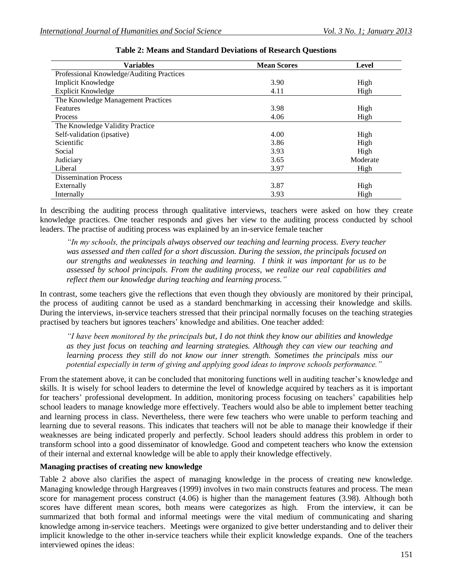| <b>Variables</b>                          | <b>Mean Scores</b> | Level    |
|-------------------------------------------|--------------------|----------|
| Professional Knowledge/Auditing Practices |                    |          |
| <b>Implicit Knowledge</b>                 | 3.90               | High     |
| <b>Explicit Knowledge</b>                 | 4.11               | High     |
| The Knowledge Management Practices        |                    |          |
| Features                                  | 3.98               | High     |
| Process                                   | 4.06               | High     |
| The Knowledge Validity Practice           |                    |          |
| Self-validation (ipsative)                | 4.00               | High     |
| Scientific                                | 3.86               | High     |
| Social                                    | 3.93               | High     |
| Judiciary                                 | 3.65               | Moderate |
| Liberal                                   | 3.97               | High     |
| <b>Dissemination Process</b>              |                    |          |
| Externally                                | 3.87               | High     |
| Internally                                | 3.93               | High     |

## **Table 2: Means and Standard Deviations of Research Questions**

In describing the auditing process through qualitative interviews, teachers were asked on how they create knowledge practices. One teacher responds and gives her view to the auditing process conducted by school leaders. The practise of auditing process was explained by an in-service female teacher

*"In my schools, the principals always observed our teaching and learning process. Every teacher was assessed and then called for a short discussion. During the session, the principals focused on our strengths and weaknesses in teaching and learning. I think it was important for us to be assessed by school principals. From the auditing process, we realize our real capabilities and reflect them our knowledge during teaching and learning process."* 

In contrast, some teachers give the reflections that even though they obviously are monitored by their principal, the process of auditing cannot be used as a standard benchmarking in accessing their knowledge and skills. During the interviews, in-service teachers stressed that their principal normally focuses on the teaching strategies practised by teachers but ignores teachers" knowledge and abilities. One teacher added:

*"I have been monitored by the principals but, I do not think they know our abilities and knowledge as they just focus on teaching and learning strategies. Although they can view our teaching and learning process they still do not know our inner strength. Sometimes the principals miss our potential especially in term of giving and applying good ideas to improve schools performance."* 

From the statement above, it can be concluded that monitoring functions well in auditing teacher's knowledge and skills. It is wisely for school leaders to determine the level of knowledge acquired by teachers as it is important for teachers' professional development. In addition, monitoring process focusing on teachers' capabilities help school leaders to manage knowledge more effectively. Teachers would also be able to implement better teaching and learning process in class. Nevertheless, there were few teachers who were unable to perform teaching and learning due to several reasons. This indicates that teachers will not be able to manage their knowledge if their weaknesses are being indicated properly and perfectly. School leaders should address this problem in order to transform school into a good disseminator of knowledge. Good and competent teachers who know the extension of their internal and external knowledge will be able to apply their knowledge effectively.

## **Managing practises of creating new knowledge**

Table 2 above also clarifies the aspect of managing knowledge in the process of creating new knowledge. Managing knowledge through Hargreaves (1999) involves in two main constructs features and process. The mean score for management process construct (4.06) is higher than the management features (3.98). Although both scores have different mean scores, both means were categorizes as high. From the interview, it can be summarized that both formal and informal meetings were the vital medium of communicating and sharing knowledge among in-service teachers. Meetings were organized to give better understanding and to deliver their implicit knowledge to the other in-service teachers while their explicit knowledge expands. One of the teachers interviewed opines the ideas: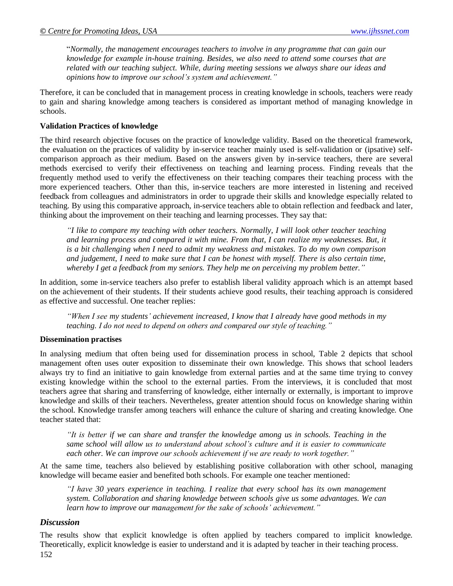"*Normally, the management encourages teachers to involve in any programme that can gain our knowledge for example in-house training. Besides, we also need to attend some courses that are related with our teaching subject. While, during meeting sessions we always share our ideas and opinions how to improve our school's system and achievement."*

Therefore, it can be concluded that in management process in creating knowledge in schools, teachers were ready to gain and sharing knowledge among teachers is considered as important method of managing knowledge in schools.

#### **Validation Practices of knowledge**

The third research objective focuses on the practice of knowledge validity. Based on the theoretical framework, the evaluation on the practices of validity by in-service teacher mainly used is self-validation or (ipsative) selfcomparison approach as their medium. Based on the answers given by in-service teachers, there are several methods exercised to verify their effectiveness on teaching and learning process. Finding reveals that the frequently method used to verify the effectiveness on their teaching compares their teaching process with the more experienced teachers. Other than this, in-service teachers are more interested in listening and received feedback from colleagues and administrators in order to upgrade their skills and knowledge especially related to teaching. By using this comparative approach, in-service teachers able to obtain reflection and feedback and later, thinking about the improvement on their teaching and learning processes. They say that:

*"I like to compare my teaching with other teachers. Normally, I will look other teacher teaching and learning process and compared it with mine. From that, I can realize my weaknesses. But, it is a bit challenging when I need to admit my weakness and mistakes. To do my own comparison and judgement, I need to make sure that I can be honest with myself. There is also certain time, whereby I get a feedback from my seniors. They help me on perceiving my problem better."* 

In addition, some in-service teachers also prefer to establish liberal validity approach which is an attempt based on the achievement of their students. If their students achieve good results, their teaching approach is considered as effective and successful. One teacher replies:

*"When I see my students' achievement increased, I know that I already have good methods in my teaching. I do not need to depend on others and compared our style of teaching."* 

#### **Dissemination practises**

In analysing medium that often being used for dissemination process in school, Table 2 depicts that school management often uses outer exposition to disseminate their own knowledge. This shows that school leaders always try to find an initiative to gain knowledge from external parties and at the same time trying to convey existing knowledge within the school to the external parties. From the interviews, it is concluded that most teachers agree that sharing and transferring of knowledge, either internally or externally, is important to improve knowledge and skills of their teachers. Nevertheless, greater attention should focus on knowledge sharing within the school. Knowledge transfer among teachers will enhance the culture of sharing and creating knowledge. One teacher stated that:

*"It is better if we can share and transfer the knowledge among us in schools. Teaching in the same school will allow us to understand about school's culture and it is easier to communicate each other. We can improve our schools achievement if we are ready to work together."*

At the same time, teachers also believed by establishing positive collaboration with other school, managing knowledge will became easier and benefited both schools. For example one teacher mentioned:

*"I have 30 years experience in teaching. I realize that every school has its own management system. Collaboration and sharing knowledge between schools give us some advantages. We can learn how to improve our management for the sake of schools' achievement."* 

#### *Discussion*

152 The results show that explicit knowledge is often applied by teachers compared to implicit knowledge. Theoretically, explicit knowledge is easier to understand and it is adapted by teacher in their teaching process.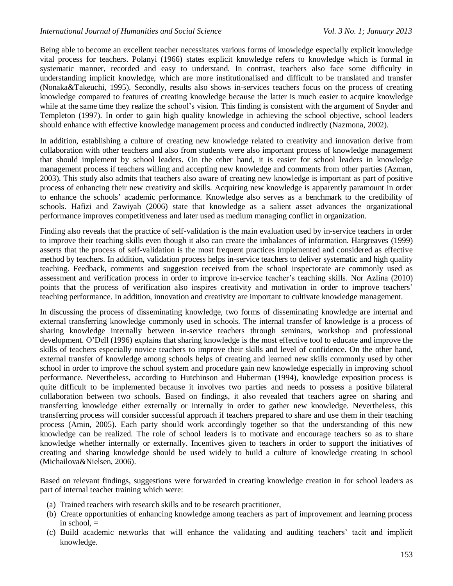Being able to become an excellent teacher necessitates various forms of knowledge especially explicit knowledge vital process for teachers. Polanyi (1966) states explicit knowledge refers to knowledge which is formal in systematic manner, recorded and easy to understand. In contrast, teachers also face some difficulty in understanding implicit knowledge, which are more institutionalised and difficult to be translated and transfer (Nonaka&Takeuchi, 1995). Secondly, results also shows in-services teachers focus on the process of creating knowledge compared to features of creating knowledge because the latter is much easier to acquire knowledge while at the same time they realize the school's vision. This finding is consistent with the argument of Snyder and Templeton (1997). In order to gain high quality knowledge in achieving the school objective, school leaders should enhance with effective knowledge management process and conducted indirectly (Nazmona, 2002).

In addition, establishing a culture of creating new knowledge related to creativity and innovation derive from collaboration with other teachers and also from students were also important process of knowledge management that should implement by school leaders. On the other hand, it is easier for school leaders in knowledge management process if teachers willing and accepting new knowledge and comments from other parties (Azman, 2003). This study also admits that teachers also aware of creating new knowledge is important as part of positive process of enhancing their new creativity and skills. Acquiring new knowledge is apparently paramount in order to enhance the schools" academic performance. Knowledge also serves as a benchmark to the credibility of schools. Hafizi and Zawiyah (2006) state that knowledge as a salient asset advances the organizational performance improves competitiveness and later used as medium managing conflict in organization.

Finding also reveals that the practice of self-validation is the main evaluation used by in-service teachers in order to improve their teaching skills even though it also can create the imbalances of information. Hargreaves (1999) asserts that the process of self-validation is the most frequent practices implemented and considered as effective method by teachers. In addition, validation process helps in-service teachers to deliver systematic and high quality teaching. Feedback, comments and suggestion received from the school inspectorate are commonly used as assessment and verification process in order to improve in-service teacher"s teaching skills. Nor Azlina (2010) points that the process of verification also inspires creativity and motivation in order to improve teachers' teaching performance. In addition, innovation and creativity are important to cultivate knowledge management.

In discussing the process of disseminating knowledge, two forms of disseminating knowledge are internal and external transferring knowledge commonly used in schools. The internal transfer of knowledge is a process of sharing knowledge internally between in-service teachers through seminars, workshop and professional development. O"Dell (1996) explains that sharing knowledge is the most effective tool to educate and improve the skills of teachers especially novice teachers to improve their skills and level of confidence. On the other hand, external transfer of knowledge among schools helps of creating and learned new skills commonly used by other school in order to improve the school system and procedure gain new knowledge especially in improving school performance. Nevertheless, according to Hutchinson and Huberman (1994), knowledge exposition process is quite difficult to be implemented because it involves two parties and needs to possess a positive bilateral collaboration between two schools. Based on findings, it also revealed that teachers agree on sharing and transferring knowledge either externally or internally in order to gather new knowledge. Nevertheless, this transferring process will consider successful approach if teachers prepared to share and use them in their teaching process (Amin, 2005). Each party should work accordingly together so that the understanding of this new knowledge can be realized. The role of school leaders is to motivate and encourage teachers so as to share knowledge whether internally or externally. Incentives given to teachers in order to support the initiatives of creating and sharing knowledge should be used widely to build a culture of knowledge creating in school (Michailova&Nielsen, 2006).

Based on relevant findings, suggestions were forwarded in creating knowledge creation in for school leaders as part of internal teacher training which were:

- (a) Trained teachers with research skills and to be research practitioner,
- (b) Create opportunities of enhancing knowledge among teachers as part of improvement and learning process in school.  $=$
- (c) Build academic networks that will enhance the validating and auditing teachers" tacit and implicit knowledge.